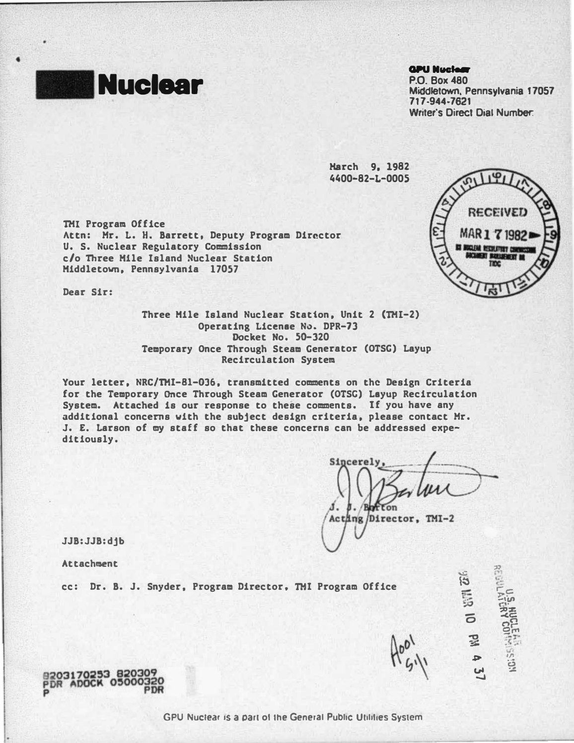

•

## **GPU Nuclear**

P.O. Box480 Nuclear Middletown. Pennsylvania 17057 717·944·7621 Writer's Direct Dial Number.

> Karch 9. 1982 4400-82-L-0005

THI Program Office Attn: Mr. L. H. Barrett, Deputy Program Director U. S. Nuclear Regulatory Commission c/o Three Mile Island Nuclear Station Middletown. Pennsylvania 17057

Dear Sir:



Three Mile Island Nuclear Statton. Unit 2 (THI-2) Operating Licenae N�. DPR-73 Docket No. SD-320 Temporary Once Through Steam Generator (OTSG) Layup Recirculation System

Your letter, NRC/TMI-81-036, transmitted comments on the Design Criteria for the Temporary Once Through Steam Generator (OTSC) Layup Recirculation System. Attached is our response to these comments. If you have any additional concerns with the subject design criteria. please contact Hr. J. £, Larson of my staff so that these concerns can be addressed expeditiously.

Sincerel Acting Director, TMI-2

 $\widetilde{\boldsymbol{\mathcal{C}}^{c}}$ 

 $\mathbb{R}$ .. ·=  $\frac{1}{250}$ 2촌

("")C"> 9� --r-<sup>&</sup>lt;• ... 1/"1 �

. . . . . .  $\overline{0}$ -o  $\simeq$ � VI  $\overline{\phantom{a}}$ 

JJB:JJB:djb

Attachment

cc: Dr. B. J. Snyder, Program Director, TMI Program Office

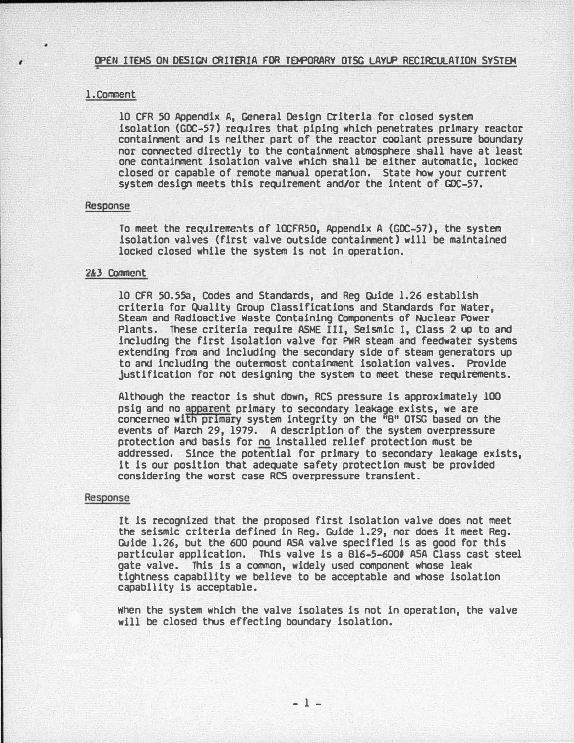#### , CPEN ITEMS ON DESIGN CRITERIA FOR TEWORARY OTSG LAYLP RECIRCULATION SYSTEM

## 1. Comment

10 CFR 50 Appendix A, General Design criteria for closed system isolation (GDC-57) requires that piping which penetrates primary reactor contaiment and is neither part of the reactor coolant pressure boundary nor connected directly to the containment atmosphere shall have at least one containment isolation valve which shall be either automatic, locked closed or capable of remote manual operation. State how your current system design meets this requirement and/or the intent of GDC-57.

## Response

To meet the requirements of lOCFR50, Appendix A (GDC-57), the system isolation valves (first valve outside containment) will be maintained locked closed while the system is not in operation.

## 2&3 Comment

10 CFR 50.55a, Codes and Standards, and Reg GUide 1.26 establish criteria for Quality Group Classifications and Standards for Water, Steam and Radioactive Waste Containing Components of Nuclear POwer Plants. These criteria require ASHE III, Seismic I, Class 2 up to and including the first isolation valve for PWR steam and feedwater systems extending from and including the secondary side of steam generators up to and including the outermost contaiment isolation valves. Provide justification for not designing the system to meet these requirements.

Although the reactor is shut down, RCS pressure is approximately 100 psig and no apparent primary to secondary leakage exists, we are concerneo with primary system integrity on the "8" OTSG based on the events of March 29, 1979. A description of the system overpressure protection and basis for no installed relief protection must be addressed. Since the potential for primary to secondary leakage exists, it is our position that adequate safety protection must be provided considering the worst case RCS overpressure transient.

#### Response

It is recognized that the proposed first isolation valve does not meet the seismic criteria defined in Reg. Guide 1.29, nor does it meet Reg. Guide 1.26, but the 600 pound ASA valve specified is as good for this particular application. This valve is a B16-5-6000 ASA Class cast steel gate valve. This is a common, widely used component whose leak tightness capability we believe to be acceptable and whose isolation capability is acceptable.

When the system which the valve isolates is not in operation, the valve will be closed thus effecting boundary isolation.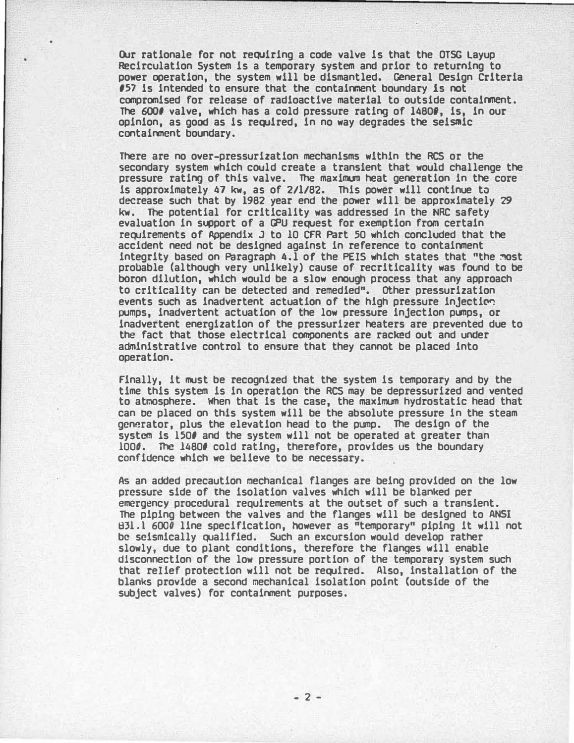Our rationale for not requiring a code valve is that the OTSG Layup Recirculation System is a temporary system and prior to returning to power operation, the system will be dismantled. General Design Criteria 157 is intended to ensure that the containnent boundary is not compromised for release of radioactive material to outside containment. The 6000 valve, which has a cold pressure rating of 14800, is, in our opinion, as good as is required, in no way degrades the seismic containment boundary.

There are no over-pressurization mechanisms within the RCS or the secondary system which could create a transient that would challenge the pressure rating of this valve. The maximum heat generation in the core is approximately 47 kw, as of 2/l/82. This power will continue to decrease such that by 1982 year end the power will be approximately 29 kw. The potential for criticality was addressed in the NRC safety evaluation in support of a GPU request for exemption from certain requirements of Appendix J to 10 CFR Part 50 which concluded that the accident need not be designed against in reference to containment integrity based on Paragraph 4.1 of the PEIS which states that "the most probable (although very unlikely) cause of recriticality was found to be boron dilution, which would be a slow enough process that any approach to criticality can be detected and remedied". Other pressurization events such as inadvertent actuation of the high pressure injection pumps, inadvertent actuation of the low pressure injection pumps, or inadvertent energization of the pressurizer heaters are prevented due to the fact that those electrical components are racked out and under administrative control to ensure that they cannot be placed into operation.

Finally, it must be recognized that the system is temporary and by the time this system is in operation the RCS may be depressurized and vented to atmosphere. When that is the case, the maximum hydrostatic head that can be placed on this system will be the absolute pressure in the steam generator, plus the elevation head to the pump. The design of the system is 1500 and the system will not be operated at greater than 1000. The 14800 cold rating, therefore, provides us the boundary confidence which we believe to be necessary.

As an added precaution mechanical flanges are being provided on the low pressure side of the isolation valves which will be blanked per emergency procedural requirements at the outset of such a transient. The piping between the valves and the flanges will be designed to ANSI  $831.1\,600\bar{0}$  line specification, however as "temporary" piping it will not be seismically qualified. Such an excursion would develop rather slowly, due to plant conditions, therefore the flanges will enable disconnection of the low pressure portion of the temporary system such that relief protection will not be required. Also, installation of the blanks provide a second mechanical isolation point {outside of the subject valves) for containment purposes.

 $- 2 -$